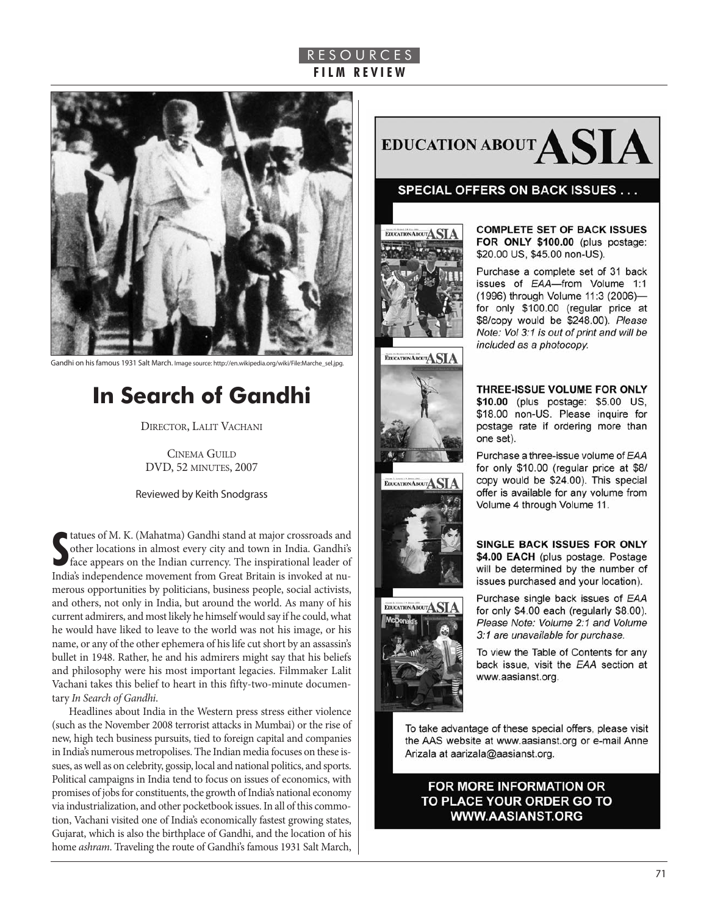## R E S O U R C E S **F I L M R E V I E W**



Gandhi on his famous 1931 Salt March. Image source: http://en.wikipedia.org/wiki/File:Marche\_sel.jpg.

# **In Search of Gandhi**

DIRECTOR, LALIT VACHANI

**CINEMA GUILD** dVd, 52 MINUTES, 2007

Reviewed by Keith Snodgrass

**S**<br> **S** tatues of M. K. (Mahatma) Gandhi stand at major crossroads and<br>
other locations in almost every city and town in India. Gandhi's<br>
face appears on the Indian currency. The inspirational leader of tatues of M. K. (Mahatma) Gandhi stand at major crossroads and other locations in almost every city and town in India. Gandhi's India's independence movement from Great Britain is invoked at numerous opportunities by politicians, business people, social activists, and others, not only in India, but around the world. As many of his current admirers, and most likely he himself would say if he could, what he would have liked to leave to the world was not his image, or his name, or any of the other ephemera of his life cut short by an assassin's bullet in 1948. Rather, he and his admirers might say that his beliefs and philosophy were his most important legacies. Filmmaker Lalit Vachani takes this belief to heart in this fifty-two-minute documentary In Search of Gandhi.

Headlines about India in the Western press stress either violence (such as the November 2008 terrorist attacks in Mumbai) or the rise of new, high tech business pursuits, tied to foreign capital and companies in India's numerous metropolises. The Indian media focuses on these issues, as well as on celebrity, gossip, local and national politics, and sports. Political campaigns in India tend to focus on issues of economics, with promises of jobs for constituents, the growth of India's national economy via industrialization, and other pocketbook issues. In all of this commotion, Vachani visited one of India's economically fastest growing states, Gujarat, which is also the birthplace of Gandhi, and the location of his home *ashram*. Traveling the route of Gandhi's famous 1931 Salt March,



#### **SPECIAL OFFERS ON BACK ISSUES...**



**COMPLETE SET OF BACK ISSUES** FOR ONLY \$100.00 (plus postage: \$20.00 US, \$45.00 non-US).

Purchase a complete set of 31 back issues of EAA-from Volume 1:1 (1996) through Volume 11:3 (2006)for only \$100.00 (regular price at \$8/copy would be \$248.00). Please Note: Vol 3:1 is out of print and will be included as a photocopy.







THREE-ISSUE VOLUME FOR ONLY \$10.00 (plus postage: \$5.00 US, \$18.00 non-US. Please inquire for postage rate if ordering more than one set).

Purchase a three-issue volume of EAA for only \$10.00 (regular price at \$8/ copy would be \$24.00). This special offer is available for any volume from Volume 4 through Volume 11.

SINGLE BACK ISSUES FOR ONLY \$4.00 EACH (plus postage. Postage will be determined by the number of issues purchased and your location).

Purchase single back issues of EAA for only \$4.00 each (regularly \$8.00). Please Note: Volume 2:1 and Volume 3:1 are unavailable for purchase.

To view the Table of Contents for any back issue, visit the EAA section at www.aasianst.org.

To take advantage of these special offers, please visit the AAS website at www.aasianst.org or e-mail Anne Arizala at aarizala@aasianst.org.

### FOR MORE INFORMATION OR TO PLACE YOUR ORDER GO TO **WWW.AASIANST.ORG**